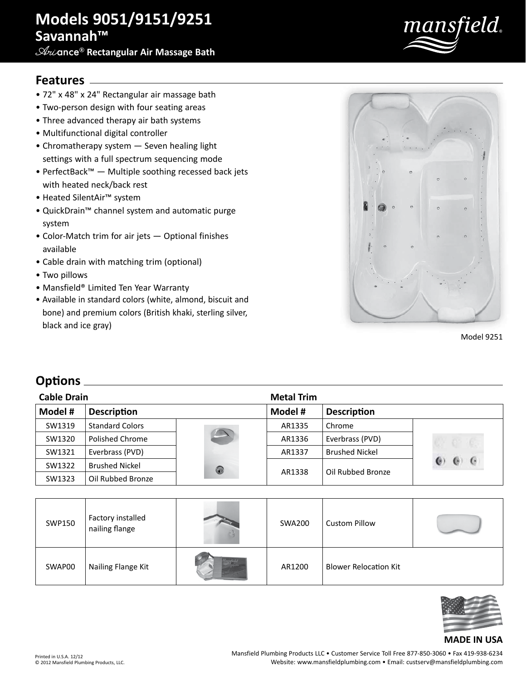# **Models 9051/9151/9251 Savannah™**

**Ari**ance® **Rectangular Air Massage Bath**



### **Features**

- 72" x 48" x 24" Rectangular air massage bath
- Two-person design with four seating areas
- Three advanced therapy air bath systems
- Multifunctional digital controller
- Chromatherapy system Seven healing light settings with a full spectrum sequencing mode
- PerfectBack™ Multiple soothing recessed back jets with heated neck/back rest
- Heated SilentAir™ system
- QuickDrain™ channel system and automatic purge system
- Color-Match trim for air jets Optional finishes available
- Cable drain with matching trim (optional)
- Two pillows
- Mansfield® Limited Ten Year Warranty
- Available in standard colors (white, almond, biscuit and bone) and premium colors (British khaki, sterling silver, black and ice gray)



Model 9251

### **Options**

| <b>Cable Drain</b> |                        |                          | <b>Metal Trim</b> |                       |            |
|--------------------|------------------------|--------------------------|-------------------|-----------------------|------------|
| Model #            | <b>Description</b>     |                          | Model #           | <b>Description</b>    |            |
| SW1319             | <b>Standard Colors</b> |                          | AR1335            | Chrome                |            |
| SW1320             | Polished Chrome        | $\overline{\phantom{a}}$ | AR1336            | Everbrass (PVD)       |            |
| SW1321             | Everbrass (PVD)        |                          | AR1337            | <b>Brushed Nickel</b> |            |
| SW1322             | <b>Brushed Nickel</b>  | 0                        | AR1338            | Oil Rubbed Bronze     | $\epsilon$ |
| SW1323             | Oil Rubbed Bronze      |                          |                   |                       |            |

| SWP150 | Factory installed<br>nailing flange | <b>SWA200</b> | <b>Custom Pillow</b>         |  |
|--------|-------------------------------------|---------------|------------------------------|--|
| SWAP00 | Nailing Flange Kit                  | AR1200        | <b>Blower Relocation Kit</b> |  |



#### **MADE IN USA**